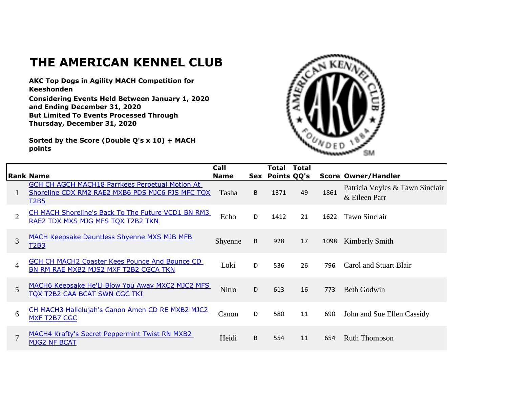## **THE AMERICAN KENNEL CLUB**

**AKC Top Dogs in Agility MACH Competition for Keeshonden**

**Considering Events Held Between January 1, 2020 and Ending December 31, 2020 But Limited To Events Processed Through Thursday, December 31, 2020**

**Sorted by the Score (Double Q's x 10) + MACH points**



|                | <b>Rank Name</b>                                                                                                   | Call<br><b>Name</b> | Sex | Total<br>Points QQ's | <b>Total</b> |      | <b>Score Owner/Handler</b>                       |
|----------------|--------------------------------------------------------------------------------------------------------------------|---------------------|-----|----------------------|--------------|------|--------------------------------------------------|
|                | GCH CH AGCH MACH18 Parrkees Perpetual Motion At<br>Shoreline CDX RM2 RAE2 MXB6 PDS MJC6 PJS MFC TQX<br><b>T2B5</b> | Tasha               | B   | 1371                 | 49           | 1861 | Patricia Voyles & Tawn Sinclair<br>& Eileen Parr |
| $\overline{2}$ | CH MACH Shoreline's Back To The Future VCD1 BN RM3<br>RAE2 TDX MXS MJG MFS TQX T2B2 TKN                            | Echo                | D   | 1412                 | 21           | 1622 | <b>Tawn Sinclair</b>                             |
| 3              | <b>MACH Keepsake Dauntless Shyenne MXS MJB MFB</b><br>T2B3                                                         | Shyenne             | B   | 928                  | 17           | 1098 | Kimberly Smith                                   |
| $\overline{4}$ | GCH CH MACH2 Coaster Kees Pounce And Bounce CD<br>BN RM RAE MXB2 MJS2 MXF T2B2 CGCA TKN                            | Loki                | D   | 536                  | 26           | 796  | Carol and Stuart Blair                           |
| 5              | MACH6 Keepsake He'Ll Blow You Away MXC2 MJC2 MFS<br>TQX T2B2 CAA BCAT SWN CGC TKI                                  | <b>Nitro</b>        | D   | 613                  | 16           | 773  | <b>Beth Godwin</b>                               |
| 6              | CH MACH3 Hallelujah's Canon Amen CD RE MXB2 MJC2<br>MXF T2B7 CGC                                                   | Canon               | D   | 580                  | 11           | 690  | John and Sue Ellen Cassidy                       |
| $\overline{7}$ | <b>MACH4 Krafty's Secret Peppermint Twist RN MXB2</b><br><b>MJG2 NF BCAT</b>                                       | Heidi               | B   | 554                  | 11           | 654  | <b>Ruth Thompson</b>                             |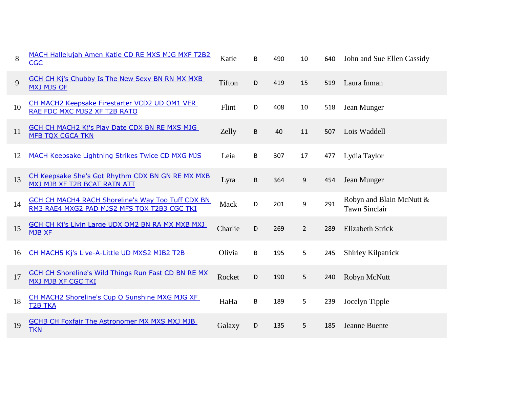| 8  | MACH Hallelujah Amen Katie CD RE MXS MJG MXF T2B2<br><b>CGC</b>                                         | Katie   | B | 490 | 10               | 640 | John and Sue Ellen Cassidy                       |
|----|---------------------------------------------------------------------------------------------------------|---------|---|-----|------------------|-----|--------------------------------------------------|
| 9  | <b>GCH CH Kj's Chubby Is The New Sexy BN RN MX MXB</b><br><b>MXJ MJS OF</b>                             | Tifton  | D | 419 | 15               | 519 | Laura Inman                                      |
| 10 | CH MACH2 Keepsake Firestarter VCD2 UD OM1 VER<br>RAE FDC MXC MJS2 XF T2B RATO                           | Flint   | D | 408 | 10               | 518 | Jean Munger                                      |
| 11 | <b>GCH CH MACH2 Kj's Play Date CDX BN RE MXS MJG</b><br><b>MFB TQX CGCA TKN</b>                         | Zelly   | B | 40  | 11               | 507 | Lois Waddell                                     |
| 12 | <b>MACH Keepsake Lightning Strikes Twice CD MXG MJS</b>                                                 | Leia    | B | 307 | 17               | 477 | Lydia Taylor                                     |
| 13 | CH Keepsake She's Got Rhythm CDX BN GN RE MX MXB<br>MXJ MJB XF T2B BCAT RATN ATT                        | Lyra    | B | 364 | $\boldsymbol{9}$ | 454 | Jean Munger                                      |
| 14 | <b>GCH CH MACH4 RACH Shoreline's Way Too Tuff CDX BN</b><br>RM3 RAE4 MXG2 PAD MJS2 MFS TQX T2B3 CGC TKI | Mack    | D | 201 | 9                | 291 | Robyn and Blain McNutt &<br><b>Tawn Sinclair</b> |
| 15 | <b>GCH CH Kj's Livin Large UDX OM2 BN RA MX MXB MXJ</b><br><b>MJB XF</b>                                | Charlie | D | 269 | $\overline{2}$   | 289 | <b>Elizabeth Strick</b>                          |
| 16 | CH MACH5 Kj's Live-A-Little UD MXS2 MJB2 T2B                                                            | Olivia  | B | 195 | 5                | 245 | Shirley Kilpatrick                               |
| 17 | <b>GCH CH Shoreline's Wild Things Run Fast CD BN RE MX</b><br><b>MXJ MJB XF CGC TKI</b>                 | Rocket  | D | 190 | 5                | 240 | Robyn McNutt                                     |
| 18 | CH MACH2 Shoreline's Cup O Sunshine MXG MJG XF<br><b>T2B TKA</b>                                        | HaHa    | B | 189 | 5                | 239 | Jocelyn Tipple                                   |
| 19 | <b>GCHB CH Foxfair The Astronomer MX MXS MXJ MJB</b><br><b>TKN</b>                                      | Galaxy  | D | 135 | 5                | 185 | Jeanne Buente                                    |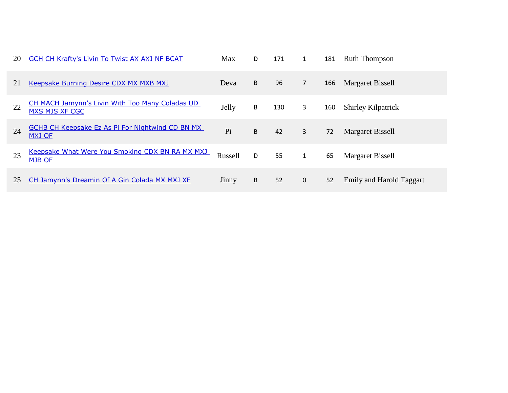| 20 | <b>GCH CH Krafty's Livin To Twist AX AXJ NF BCAT</b>                     | <b>Max</b> | D | 171 | $\mathbf{1}$   | 181 | <b>Ruth Thompson</b>      |
|----|--------------------------------------------------------------------------|------------|---|-----|----------------|-----|---------------------------|
| 21 | <b>Keepsake Burning Desire CDX MX MXB MXJ</b>                            | Deva       | B | 96  | $\overline{7}$ | 166 | Margaret Bissell          |
| 22 | <b>CH MACH Jamynn's Livin With Too Many Coladas UD</b><br>MXS MJS XF CGC | Jelly      | B | 130 | 3              | 160 | <b>Shirley Kilpatrick</b> |
| 24 | <b>GCHB CH Keepsake Ez As Pi For Nightwind CD BN MX</b><br><b>MXJ OF</b> | Pi         | B | 42  | 3              | 72  | <b>Margaret Bissell</b>   |
| 23 | Keepsake What Were You Smoking CDX BN RA MX MXJ<br><b>MJB OF</b>         | Russell    | D | 55  | $\mathbf{1}$   | 65  | Margaret Bissell          |
| 25 | CH Jamynn's Dreamin Of A Gin Colada MX MXJ XF                            | Jinny      | B | 52  | $\mathbf 0$    | 52  | Emily and Harold Taggart  |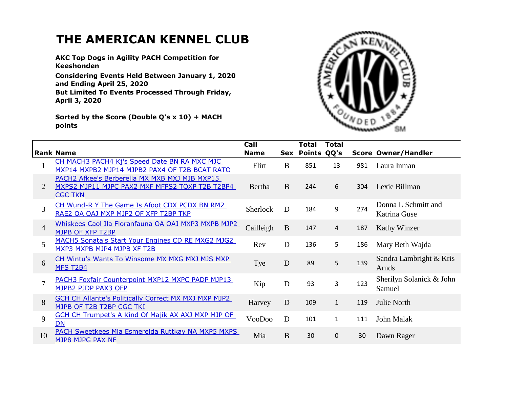## **THE AMERICAN KENNEL CLUB**

**AKC Top Dogs in Agility PACH Competition for Keeshonden**

**Considering Events Held Between January 1, 2020 and Ending April 25, 2020 But Limited To Events Processed Through Friday, April 3, 2020**

**Sorted by the Score (Double Q's x 10) + MACH points**



|                | <b>Rank Name</b>                                            | Call            |          | Total       | <b>Total</b>   |     |                            |
|----------------|-------------------------------------------------------------|-----------------|----------|-------------|----------------|-----|----------------------------|
|                |                                                             | <b>Name</b>     | Sex      | Points QQ's |                |     | <b>Score Owner/Handler</b> |
|                | CH MACH3 PACH4 Kj's Speed Date BN RA MXC MJC                | Flirt           | B        | 851         | 13             | 981 | Laura Inman                |
|                | MXP14 MXPB2 MJP14 MJPB2 PAX4 OF T2B BCAT RATO               |                 |          |             |                |     |                            |
|                | PACH2 Afkee's Berberella MX MXB MXJ MJB MXP15               |                 |          |             |                |     |                            |
| 2              | MXPS2 MJP11 MJPC PAX2 MXF MFPS2 TQXP T2B T2BP4              | Bertha          | B        | 244         | 6              | 304 | Lexie Billman              |
|                | <b>CGC TKN</b>                                              |                 |          |             |                |     |                            |
|                | CH Wund-R Y The Game Is Afoot CDX PCDX BN RM2               |                 |          |             |                |     | Donna L Schmitt and        |
| $\overline{3}$ | RAE2 OA OAJ MXP MJP2 OF XFP T2BP TKP                        | <b>Sherlock</b> | D        | 184         | 9              | 274 | Katrina Guse               |
|                |                                                             |                 |          |             |                |     |                            |
| $\overline{4}$ | Whiskees Caol Ila Floranfauna OA OAJ MXP3 MXPB MJP2         | Cailleigh       | $\bf{B}$ | 147         | $\overline{4}$ | 187 | <b>Kathy Winzer</b>        |
|                | MJPB OF XFP T2BP                                            |                 |          |             |                |     |                            |
| 5              | MACH5 Sonata's Start Your Engines CD RE MXG2 MJG2           | Rev             | D        | 136         | 5              | 186 | Mary Beth Wajda            |
|                | MXP3 MXPB MJP4 MJPB XF T2B                                  |                 |          |             |                |     |                            |
|                | CH Wintu's Wants To Winsome MX MXG MXJ MJS MXP              |                 |          |             |                |     | Sandra Lambright & Kris    |
| 6              | <b>MFS T2B4</b>                                             | Tye             | D        | 89          | 5              | 139 | Arnds                      |
|                |                                                             |                 |          |             |                |     |                            |
| $\overline{7}$ | PACH3 Foxfair Counterpoint MXP12 MXPC PADP MJP13            | Kip             | D        | 93          | 3              | 123 | Sherilyn Solanick & John   |
|                | MJPB2 PJDP PAX3 OFP                                         |                 |          |             |                |     | Samuel                     |
| 8              | <b>GCH CH Allante's Politically Correct MX MXJ MXP MJP2</b> |                 |          |             |                |     |                            |
|                | MJPB OF T2B T2BP CGC TKI                                    | Harvey          | D        | 109         | $\mathbf{1}$   | 119 | Julie North                |
|                | <b>GCH CH Trumpet's A Kind Of Majik AX AXJ MXP MJP OF</b>   |                 |          |             |                |     |                            |
| 9              | DN                                                          | VooDoo          | D        | 101         | $\mathbf{1}$   | 111 | John Malak                 |
|                | PACH Sweetkees Mia Esmerelda Ruttkay NA MXP5 MXPS           |                 |          |             |                |     |                            |
| 10             | MJP8 MJPG PAX NF                                            | Mia             | $\bf{B}$ | 30          | $\mathbf{0}$   | 30  | Dawn Rager                 |